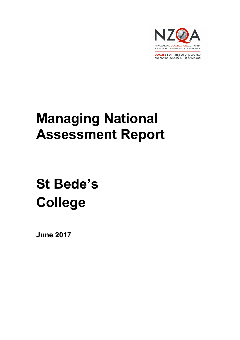

**QUALIFY FOR THE FUTURE WORLD** KIA NOHO TAKATŪ KI TŌ ĀMUA AO!

# Managing National Assessment Report

# St Bede's College

June 2017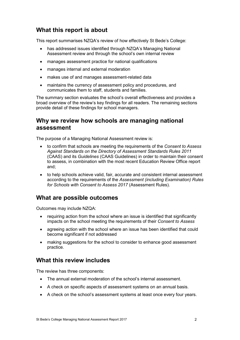# What this report is about

This report summarises NZQA's review of how effectively St Bede's College:

- has addressed issues identified through NZQA's Managing National Assessment review and through the school's own internal review
- manages assessment practice for national qualifications
- manages internal and external moderation
- makes use of and manages assessment-related data
- maintains the currency of assessment policy and procedures, and communicates them to staff, students and families.

The summary section evaluates the school's overall effectiveness and provides a broad overview of the review's key findings for all readers. The remaining sections provide detail of these findings for school managers.

# Why we review how schools are managing national assessment

The purpose of a Managing National Assessment review is:

- to confirm that schools are meeting the requirements of the Consent to Assess Against Standards on the Directory of Assessment Standards Rules 2011 (CAAS) and its Guidelines (CAAS Guidelines) in order to maintain their consent to assess, in combination with the most recent Education Review Office report and;
- to help schools achieve valid, fair, accurate and consistent internal assessment according to the requirements of the Assessment (including Examination) Rules for Schools with Consent to Assess 2017 (Assessment Rules).

## What are possible outcomes

Outcomes may include NZQA:

- requiring action from the school where an issue is identified that significantly impacts on the school meeting the requirements of their Consent to Assess
- agreeing action with the school where an issue has been identified that could become significant if not addressed
- making suggestions for the school to consider to enhance good assessment practice.

# What this review includes

The review has three components:

- The annual external moderation of the school's internal assessment.
- A check on specific aspects of assessment systems on an annual basis.
- A check on the school's assessment systems at least once every four years.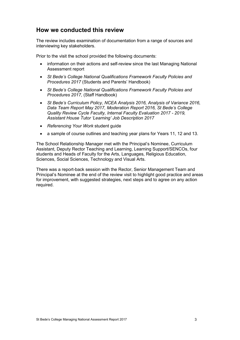# How we conducted this review

The review includes examination of documentation from a range of sources and interviewing key stakeholders.

Prior to the visit the school provided the following documents:

- information on their actions and self-review since the last Managing National Assessment report
- St Bede's College National Qualifications Framework Faculty Policies and Procedures 2017 (Students and Parents' Handbook)
- St Bede's College National Qualifications Framework Faculty Policies and Procedures 2017, (Staff Handbook)
- St Bede's Curriculum Policy, NCEA Analysis 2016, Analysis of Variance 2016, Data Team Report May 2017, Moderation Report 2016, St Bede's College Quality Review Cycle Faculty, Internal Faculty Evaluation 2017 - 2019, Assistant House Tutor 'Learning' Job Description 2017
- Referencing Your Work student quide
- a sample of course outlines and teaching year plans for Years 11, 12 and 13.

The School Relationship Manager met with the Principal's Nominee, Curriculum Assistant, Deputy Rector Teaching and Learning, Learning Support/SENCOs, four students and Heads of Faculty for the Arts, Languages, Religious Education, Sciences, Social Sciences, Technology and Visual Arts.

There was a report-back session with the Rector, Senior Management Team and Principal's Nominee at the end of the review visit to highlight good practice and areas for improvement, with suggested strategies, next steps and to agree on any action required.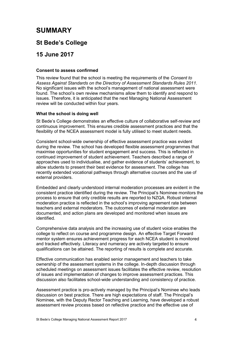# SUMMARY

## St Bede's College

# 15 June 2017

#### Consent to assess confirmed

This review found that the school is meeting the requirements of the Consent to Assess Against Standards on the Directory of Assessment Standards Rules 2011. No significant issues with the school's management of national assessment were found. The school's own review mechanisms allow them to identify and respond to issues. Therefore, it is anticipated that the next Managing National Assessment review will be conducted within four years.

#### What the school is doing well

St Bede's College demonstrates an effective culture of collaborative self-review and continuous improvement. This ensures credible assessment practices and that the flexibility of the NCEA assessment model is fully utilised to meet student needs.

Consistent school-wide ownership of effective assessment practice was evident during the review. The school has developed flexible assessment programmes that maximise opportunities for student engagement and success. This is reflected in continued improvement of student achievement. Teachers described a range of approaches used to individualise, and gather evidence of students' achievement, to allow students to present their best evidence for assessment. The college has recently extended vocational pathways through alternative courses and the use of external providers.

Embedded and clearly understood internal moderation processes are evident in the consistent practice identified during the review. The Principal's Nominee monitors the process to ensure that only credible results are reported to NZQA. Robust internal moderation practice is reflected in the school's improving agreement rate between teachers and external moderators. The outcomes of external moderation are documented, and action plans are developed and monitored when issues are identified.

Comprehensive data analysis and the increasing use of student voice enables the college to reflect on course and programme design. An effective Target Forward mentor system ensures achievement progress for each NCEA student is monitored and tracked effectively. Literacy and numeracy are actively targeted to ensure qualifications can be attained. The reporting of results is complete and accurate.

Effective communication has enabled senior management and teachers to take ownership of the assessment systems in the college. In-depth discussion through scheduled meetings on assessment issues facilitates the effective review, resolution of issues and implementation of changes to improve assessment practices. This discussion also facilitates school-wide understanding and consistency of practice.

Assessment practice is pro-actively managed by the Principal's Nominee who leads discussion on best practice. There are high expectations of staff. The Principal's Nominee, with the Deputy Rector Teaching and Learning, have developed a robust assessment review process based on reflective practice and the effective use of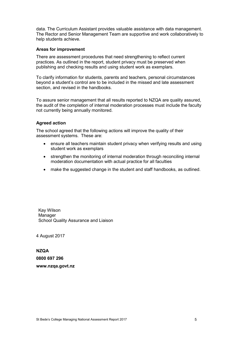data. The Curriculum Assistant provides valuable assistance with data management. The Rector and Senior Management Team are supportive and work collaboratively to help students achieve.

#### Areas for improvement

There are assessment procedures that need strengthening to reflect current practices. As outlined in the report, student privacy must be preserved when publishing and checking results and using student work as exemplars.

To clarify information for students, parents and teachers, personal circumstances beyond a student's control are to be included in the missed and late assessment section, and revised in the handbooks.

To assure senior management that all results reported to NZQA are quality assured, the audit of the completion of internal moderation processes must include the faculty not currently being annually monitored.

#### Agreed action

The school agreed that the following actions will improve the quality of their assessment systems. These are:

- ensure all teachers maintain student privacy when verifying results and using student work as exemplars
- strengthen the monitoring of internal moderation through reconciling internal moderation documentation with actual practice for all faculties
- make the suggested change in the student and staff handbooks, as outlined.

Kay Wilson Manager School Quality Assurance and Liaison

4 August 2017

NZQA 0800 697 296 www.nzqa.govt.nz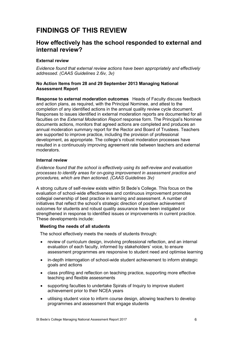# FINDINGS OF THIS REVIEW

## How effectively has the school responded to external and internal review?

#### External review

Evidence found that external review actions have been appropriately and effectively addressed. (CAAS Guidelines 2.6iv, 3v)

#### No Action Items from 28 and 29 September 2013 Managing National Assessment Report

Response to external moderation outcomes Heads of Faculty discuss feedback and action plans, as required, with the Principal Nominee, and attest to the completion of any identified actions in the annual quality review cycle document. Responses to issues identified in external moderation reports are documented for all faculties on the External Moderation Report response form. The Principal's Nominee documents actions, monitors that agreed actions are completed and produces an annual moderation summary report for the Rector and Board of Trustees. Teachers are supported to improve practice, including the provision of professional development, as appropriate. The college's robust moderation processes have resulted in a continuously improving agreement rate between teachers and external moderators.

#### Internal review

Evidence found that the school is effectively using its self-review and evaluation processes to identify areas for on-going improvement in assessment practice and procedures, which are then actioned. (CAAS Guidelines 3iv)

A strong culture of self-review exists within St Bede's College. This focus on the evaluation of school-wide effectiveness and continuous improvement promotes collegial ownership of best practice in learning and assessment. A number of initiatives that reflect the school's strategic direction of positive achievement outcomes for students and robust quality assurance have been instigated or strengthened in response to identified issues or improvements in current practice. These developments include:

#### Meeting the needs of all students

The school effectively meets the needs of students through:

- review of curriculum design, involving professional reflection, and an internal evaluation of each faculty, informed by stakeholders' voice, to ensure assessment programmes are responsive to student need and optimise learning
- in-depth interrogation of school-wide student achievement to inform strategic goals and actions
- class profiling and reflection on teaching practice, supporting more effective teaching and flexible assessments
- supporting faculties to undertake Spirals of Inquiry to improve student achievement prior to their NCEA years
- utilising student voice to inform course design, allowing teachers to develop programmes and assessment that engage students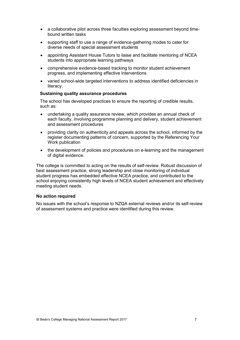- a collaborative pilot across three faculties exploring assessment beyond timebound written tasks
- supporting staff to use a range of evidence-gathering modes to cater for diverse needs of special assessment students
- appointing Assistant House Tutors to liaise and facilitate mentoring of NCEA students into appropriate learning pathways
- comprehensive evidence-based tracking to monitor student achievement progress, and implementing effective interventions
- varied school-wide targeted interventions to address identified deficiencies in literacy.

#### Sustaining quality assurance procedures

The school has developed practices to ensure the reporting of credible results, such as:

- undertaking a quality assurance review, which provides an annual check of each faculty, involving programme planning and delivery, student achievement and assessment procedures
- providing clarity on authenticity and appeals across the school, informed by the register documenting patterns of concern, supported by the Referencing Your Work publication
- the development of policies and procedures on e-learning and the management of digital evidence.

The college is committed to acting on the results of self-review. Robust discussion of best assessment practice, strong leadership and close monitoring of individual student progress has embedded effective NCEA practice, and contributed to the school enjoying consistently high levels of NCEA student achievement and effectively meeting student needs.

#### No action required

No issues with the school's response to NZQA external reviews and/or its self-review of assessment systems and practice were identified during this review.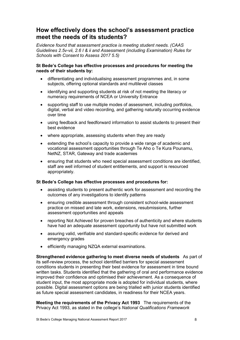# How effectively does the school's assessment practice meet the needs of its students?

Evidence found that assessment practice is meeting student needs. (CAAS Guidelines 2.5v-vii, 2.6 I & ii and Assessment (including Examination) Rules for Schools with Consent to Assess 2017 5.5)

#### St Bede's College has effective processes and procedures for meeting the needs of their students by:

- differentiating and individualising assessment programmes and, in some subjects, offering optional standards and multilevel classes
- identifying and supporting students at risk of not meeting the literacy or numeracy requirements of NCEA or University Entrance
- supporting staff to use multiple modes of assessment, including portfolios, digital, verbal and video recording, and gathering naturally occurring evidence over time
- using feedback and feedforward information to assist students to present their best evidence
- where appropriate, assessing students when they are ready
- extending the school's capacity to provide a wide range of academic and vocational assessment opportunities through Te Aho o Te Kura Pounamu, NetNZ, STAR, Gateway and trade academies
- ensuring that students who need special assessment conditions are identified, staff are well informed of student entitlements, and support is resourced appropriately.

#### St Bede's College has effective processes and procedures for:

- assisting students to present authentic work for assessment and recording the outcomes of any investigations to identify patterns
- ensuring credible assessment through consistent school-wide assessment practice on missed and late work, extensions, resubmissions, further assessment opportunities and appeals
- reporting Not Achieved for proven breaches of authenticity and where students have had an adequate assessment opportunity but have not submitted work
- assuring valid, verifiable and standard-specific evidence for derived and emergency grades
- efficiently managing NZQA external examinations.

Strengthened evidence gathering to meet diverse needs of students As part of its self-review process, the school identified barriers for special assessment conditions students in presenting their best evidence for assessment in time bound written tasks. Students identified that the gathering of oral and performance evidence improved their confidence and optimised their achievement. As a consequence of student input, the most appropriate mode is adopted for individual students, where possible. Digital assessment options are being trialled with junior students identified as future special assessment candidates, in readiness for their NCEA years.

Meeting the requirements of the Privacy Act 1993 The requirements of the Privacy Act 1993, as stated in the college's National Qualifications Framework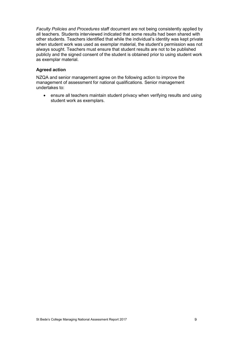Faculty Policies and Procedures staff document are not being consistently applied by all teachers. Students interviewed indicated that some results had been shared with other students. Teachers identified that while the individual's identity was kept private when student work was used as exemplar material, the student's permission was not always sought. Teachers must ensure that student results are not to be published publicly and the signed consent of the student is obtained prior to using student work as exemplar material.

#### Agreed action

NZQA and senior management agree on the following action to improve the management of assessment for national qualifications. Senior management undertakes to:

 ensure all teachers maintain student privacy when verifying results and using student work as exemplars.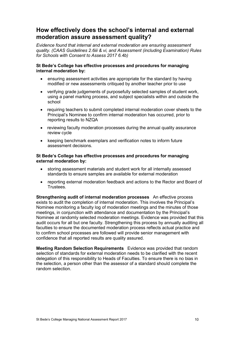# How effectively does the school's internal and external moderation assure assessment quality?

Evidence found that internal and external moderation are ensuring assessment quality. (CAAS Guidelines 2.6iii & vi, and Assessment (including Examination) Rules for Schools with Consent to Assess 2017 6.4b)

#### St Bede's College has effective processes and procedures for managing internal moderation by:

- ensuring assessment activities are appropriate for the standard by having modified or new assessments critiqued by another teacher prior to use
- verifying grade judgements of purposefully selected samples of student work, using a panel marking process, and subject specialists within and outside the school
- requiring teachers to submit completed internal moderation cover sheets to the Principal's Nominee to confirm internal moderation has occurred, prior to reporting results to NZQA
- reviewing faculty moderation processes during the annual quality assurance review cycle
- keeping benchmark exemplars and verification notes to inform future assessment decisions.

#### St Bede's College has effective processes and procedures for managing external moderation by:

- storing assessment materials and student work for all internally assessed standards to ensure samples are available for external moderation
- reporting external moderation feedback and actions to the Rector and Board of Trustees.

Strengthening audit of internal moderation processes An effective process exists to audit the completion of internal moderation. This involves the Principal's Nominee monitoring a faculty log of moderation meetings and the minutes of those meetings, in conjunction with attendance and documentation by the Principal's Nominee at randomly selected moderation meetings. Evidence was provided that this audit occurs for all but one faculty. Strengthening this process by annually auditing all faculties to ensure the documented moderation process reflects actual practice and to confirm school processes are followed will provide senior management with confidence that all reported results are quality assured.

Meeting Random Selection Requirements Evidence was provided that random selection of standards for external moderation needs to be clarified with the recent delegation of this responsibility to Heads of Faculties. To ensure there is no bias in the selection, a person other than the assessor of a standard should complete the random selection.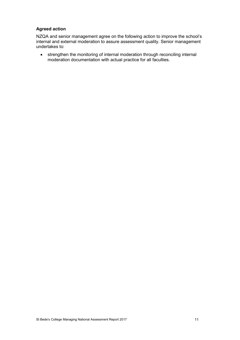#### Agreed action

NZQA and senior management agree on the following action to improve the school's internal and external moderation to assure assessment quality. Senior management undertakes to:

 strengthen the monitoring of internal moderation through reconciling internal moderation documentation with actual practice for all faculties.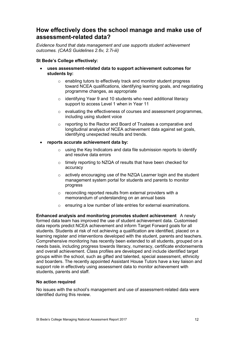# How effectively does the school manage and make use of assessment-related data?

Evidence found that data management and use supports student achievement outcomes. (CAAS Guidelines 2.6v, 2.7i-iii)

#### St Bede's College effectively:

- uses assessment-related data to support achievement outcomes for students by:
	- o enabling tutors to effectively track and monitor student progress toward NCEA qualifications, identifying learning goals, and negotiating programme changes, as appropriate
	- o identifying Year 9 and 10 students who need additional literacy support to access Level 1 when in Year 11
	- $\circ$  evaluating the effectiveness of courses and assessment programmes. including using student voice
	- o reporting to the Rector and Board of Trustees a comparative and longitudinal analysis of NCEA achievement data against set goals, identifying unexpected results and trends.
- reports accurate achievement data by:
	- o using the Key Indicators and data file submission reports to identify and resolve data errors
	- o timely reporting to NZQA of results that have been checked for accuracy
	- o actively encouraging use of the NZQA Learner login and the student management system portal for students and parents to monitor progress
	- $\circ$  reconciling reported results from external providers with a memorandum of understanding on an annual basis
	- o ensuring a low number of late entries for external examinations.

Enhanced analysis and monitoring promotes student achievement A newly formed data team has improved the use of student achievement data. Customised data reports predict NCEA achievement and inform Target Forward goals for all students. Students at risk of not achieving a qualification are identified, placed on a learning register and interventions developed with the student, parents and teachers. Comprehensive monitoring has recently been extended to all students, grouped on a needs basis, including progress towards literacy, numeracy, certificate endorsements and overall achievement. Class profiles are developed and include identified target groups within the school, such as gifted and talented, special assessment, ethnicity and boarders. The recently appointed Assistant House Tutors have a key liaison and support role in effectively using assessment data to monitor achievement with students, parents and staff.

#### No action required

No issues with the school's management and use of assessment-related data were identified during this review.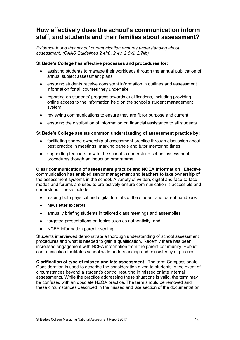# How effectively does the school's communication inform staff, and students and their families about assessment?

Evidence found that school communication ensures understanding about assessment. (CAAS Guidelines 2.4i(f), 2.4v, 2.6vii, 2.7iib)

#### St Bede's College has effective processes and procedures for:

- assisting students to manage their workloads through the annual publication of annual subject assessment plans
- ensuring students receive consistent information in outlines and assessment information for all courses they undertake
- reporting on students' progress towards qualifications, including providing online access to the information held on the school's student management system
- reviewing communications to ensure they are fit for purpose and current
- ensuring the distribution of information on financial assistance to all students.

#### St Bede's College assists common understanding of assessment practice by:

- facilitating shared ownership of assessment practice through discussion about best practice in meetings, marking panels and tutor mentoring times
- supporting teachers new to the school to understand school assessment procedures though an induction programme.

Clear communication of assessment practice and NCEA information Effective communication has enabled senior management and teachers to take ownership of the assessment systems in the school. A variety of written, digital and face-to-face modes and forums are used to pro-actively ensure communication is accessible and understood. These include:

- issuing both physical and digital formats of the student and parent handbook
- newsletter excerpts
- annually briefing students in tailored class meetings and assemblies
- targeted presentations on topics such as authenticity, and
- NCEA information parent evening.

Students interviewed demonstrate a thorough understanding of school assessment procedures and what is needed to gain a qualification. Recently there has been increased engagement with NCEA information from the parent community. Robust communication facilitates school-wide understanding and consistency of practice.

Clarification of type of missed and late assessment The term Compassionate Consideration is used to describe the consideration given to students in the event of circumstances beyond a student's control resulting in missed or late internal assessments. While the practice addressing these situations is valid, the term may be confused with an obsolete NZQA practice. The term should be removed and these circumstances described in the missed and late section of the documentation.